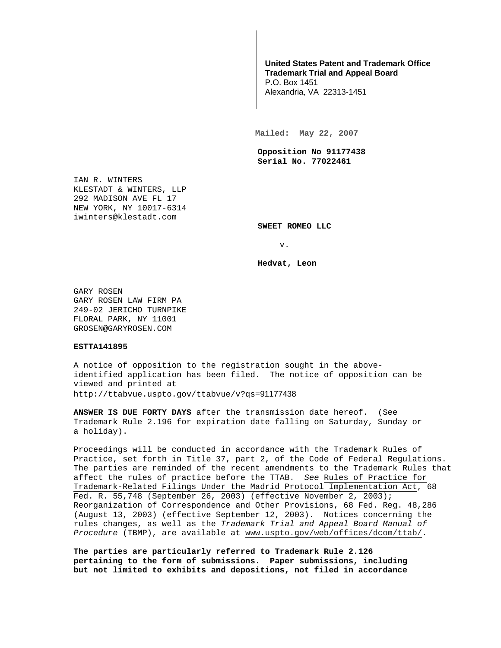## **United States Patent and Trademark Office Trademark Trial and Appeal Board**

P.O. Box 1451 Alexandria, VA 22313-1451

**Mailed: May 22, 2007** 

**Opposition No 91177438 Serial No. 77022461** 

IAN R. WINTERS KLESTADT & WINTERS, LLP 292 MADISON AVE FL 17 NEW YORK, NY 10017-6314 iwinters@klestadt.com

**SWEET ROMEO LLC** 

v.

**Hedvat, Leon** 

GARY ROSEN GARY ROSEN LAW FIRM PA 249-02 JERICHO TURNPIKE FLORAL PARK, NY 11001 GROSEN@GARYROSEN.COM

## **ESTTA141895**

A notice of opposition to the registration sought in the aboveidentified application has been filed. The notice of opposition can be viewed and printed at http://ttabvue.uspto.gov/ttabvue/v?qs=91177438

**ANSWER IS DUE FORTY DAYS** after the transmission date hereof. (See Trademark Rule 2.196 for expiration date falling on Saturday, Sunday or a holiday).

Proceedings will be conducted in accordance with the Trademark Rules of Practice, set forth in Title 37, part 2, of the Code of Federal Regulations. The parties are reminded of the recent amendments to the Trademark Rules that affect the rules of practice before the TTAB. See Rules of Practice for Trademark-Related Filings Under the Madrid Protocol Implementation Act, 68 Fed. R. 55,748 (September 26, 2003) (effective November 2, 2003); Reorganization of Correspondence and Other Provisions, 68 Fed. Reg. 48,286 (August 13, 2003) (effective September 12, 2003). Notices concerning the rules changes, as well as the Trademark Trial and Appeal Board Manual of Procedure (TBMP), are available at www.uspto.gov/web/offices/dcom/ttab/.

**The parties are particularly referred to Trademark Rule 2.126 pertaining to the form of submissions. Paper submissions, including but not limited to exhibits and depositions, not filed in accordance**